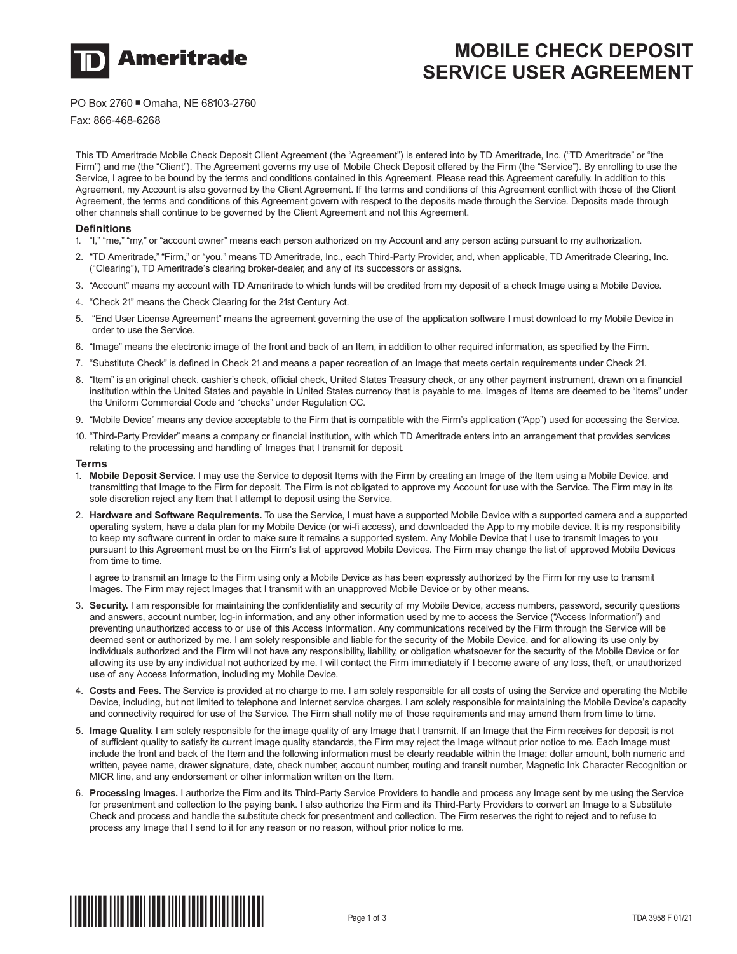

# **MOBILE CHECK DEPOSIT SERVICE USER AGREEMENT**

PO Box 2760 Omaha, NE 68103-2760

Fax: 866-468-6268

This TD Ameritrade Mobile Check Deposit Client Agreement (the "Agreement") is entered into by TD Ameritrade, Inc. ("TD Ameritrade" or "the Firm") and me (the "Client"). The Agreement governs my use of Mobile Check Deposit offered by the Firm (the "Service"). By enrolling to use the Service, I agree to be bound by the terms and conditions contained in this Agreement. Please read this Agreement carefully. In addition to this Agreement, my Account is also governed by the Client Agreement. If the terms and conditions of this Agreement conflict with those of the Client Agreement, the terms and conditions of this Agreement govern with respect to the deposits made through the Service. Deposits made through other channels shall continue to be governed by the Client Agreement and not this Agreement.

## **Definitions**

- 1. "I," "me," "my," or "account owner" means each person authorized on my Account and any person acting pursuant to my authorization.
- 2. "TD Ameritrade," "Firm," or "you," means TD Ameritrade, Inc., each Third-Party Provider, and, when applicable, TD Ameritrade Clearing, Inc. ("Clearing"), TD Ameritrade's clearing broker-dealer, and any of its successors or assigns.
- 3. "Account" means my account with TD Ameritrade to which funds will be credited from my deposit of a check Image using a Mobile Device.
- 4. "Check 21" means the Check Clearing for the 21st Century Act.
- 5. "End User License Agreement" means the agreement governing the use of the application software I must download to my Mobile Device in order to use the Service.
- 6. "Image" means the electronic image of the front and back of an Item, in addition to other required information, as specified by the Firm.
- 7. "Substitute Check" is defined in Check 21 and means a paper recreation of an Image that meets certain requirements under Check 21.
- 8. "Item" is an original check, cashier's check, official check, United States Treasury check, or any other payment instrument, drawn on a financial institution within the United States and payable in United States currency that is payable to me. Images of Items are deemed to be "items" under the Uniform Commercial Code and "checks" under Regulation CC.
- 9. "Mobile Device" means any device acceptable to the Firm that is compatible with the Firm's application ("App") used for accessing the Service.
- 10. "Third-Party Provider" means a company or financial institution, with which TD Ameritrade enters into an arrangement that provides services relating to the processing and handling of Images that I transmit for deposit.

#### **Terms**

- 1. **Mobile Deposit Service.** I may use the Service to deposit Items with the Firm by creating an Image of the Item using a Mobile Device, and transmitting that Image to the Firm for deposit. The Firm is not obligated to approve my Account for use with the Service. The Firm may in its sole discretion reject any Item that I attempt to deposit using the Service.
- 2. **Hardware and Software Requirements.** To use the Service, I must have a supported Mobile Device with a supported camera and a supported operating system, have a data plan for my Mobile Device (or wi-fi access), and downloaded the App to my mobile device. It is my responsibility to keep my software current in order to make sure it remains a supported system. Any Mobile Device that I use to transmit Images to you pursuant to this Agreement must be on the Firm's list of approved Mobile Devices. The Firm may change the list of approved Mobile Devices from time to time.

 I agree to transmit an Image to the Firm using only a Mobile Device as has been expressly authorized by the Firm for my use to transmit Images. The Firm may reject Images that I transmit with an unapproved Mobile Device or by other means.

- 3. **Security.** I am responsible for maintaining the confidentiality and security of my Mobile Device, access numbers, password, security questions and answers, account number, log-in information, and any other information used by me to access the Service ("Access Information") and preventing unauthorized access to or use of this Access Information. Any communications received by the Firm through the Service will be deemed sent or authorized by me. I am solely responsible and liable for the security of the Mobile Device, and for allowing its use only by individuals authorized and the Firm will not have any responsibility, liability, or obligation whatsoever for the security of the Mobile Device or for allowing its use by any individual not authorized by me. I will contact the Firm immediately if I become aware of any loss, theft, or unauthorized use of any Access Information, including my Mobile Device.
- 4. **Costs and Fees.** The Service is provided at no charge to me. I am solely responsible for all costs of using the Service and operating the Mobile Device, including, but not limited to telephone and Internet service charges. I am solely responsible for maintaining the Mobile Device's capacity and connectivity required for use of the Service. The Firm shall notify me of those requirements and may amend them from time to time.
- 5. **Image Quality.** I am solely responsible for the image quality of any Image that I transmit. If an Image that the Firm receives for deposit is not of sufficient quality to satisfy its current image quality standards, the Firm may reject the Image without prior notice to me. Each Image must include the front and back of the Item and the following information must be clearly readable within the Image: dollar amount, both numeric and written, payee name, drawer signature, date, check number, account number, routing and transit number, Magnetic Ink Character Recognition or MICR line, and any endorsement or other information written on the Item.
- 6. **Processing Images.** I authorize the Firm and its Third-Party Service Providers to handle and process any Image sent by me using the Service for presentment and collection to the paying bank. I also authorize the Firm and its Third-Party Providers to convert an Image to a Substitute Check and process and handle the substitute check for presentment and collection. The Firm reserves the right to reject and to refuse to process any Image that I send to it for any reason or no reason, without prior notice to me.

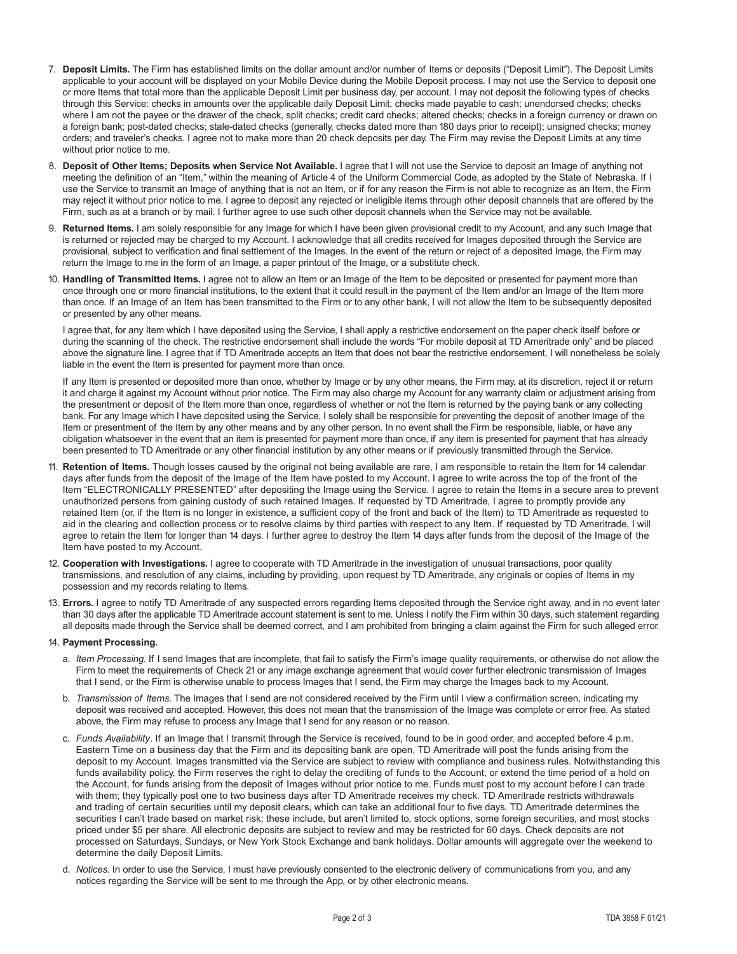- 7. **Deposit Limits.** The Firm has established limits on the dollar amount and/or number of Items or deposits ("Deposit Limit"). The Deposit Limits applicable to your account will be displayed on your Mobile Device during the Mobile Deposit process. I may not use the Service to deposit one or more Items that total more than the applicable Deposit Limit per business day, per account. I may not deposit the following types of checks through this Service: checks in amounts over the applicable daily Deposit Limit; checks made payable to cash; unendorsed checks; checks where I am not the payee or the drawer of the check, split checks; credit card checks; altered checks; checks in a foreign currency or drawn on a foreign bank; post-dated checks; stale-dated checks (generally, checks dated more than 180 days prior to receipt); unsigned checks; money orders; and traveler's checks. I agree not to make more than 20 check deposits per day. The Firm may revise the Deposit Limits at any time without prior notice to me.
- 8. **Deposit of Other Items; Deposits when Service Not Available.** I agree that I will not use the Service to deposit an Image of anything not meeting the definition of an "Item," within the meaning of Article 4 of the Uniform Commercial Code, as adopted by the State of Nebraska. If I use the Service to transmit an Image of anything that is not an Item, or if for any reason the Firm is not able to recognize as an Item, the Firm may reject it without prior notice to me. I agree to deposit any rejected or ineligible items through other deposit channels that are offered by the Firm, such as at a branch or by mail. I further agree to use such other deposit channels when the Service may not be available.
- 9. **Returned Items.** I am solely responsible for any Image for which I have been given provisional credit to my Account, and any such Image that is returned or rejected may be charged to my Account. I acknowledge that all credits received for Images deposited through the Service are provisional, subject to verification and final settlement of the Images. In the event of the return or reject of a deposited Image, the Firm may return the Image to me in the form of an Image, a paper printout of the Image, or a substitute check.
- 10. **Handling of Transmitted Items.** I agree not to allow an Item or an Image of the Item to be deposited or presented for payment more than once through one or more financial institutions, to the extent that it could result in the payment of the Item and/or an Image of the Item more than once. If an Image of an Item has been transmitted to the Firm or to any other bank, I will not allow the Item to be subsequently deposited or presented by any other means.

I agree that, for any Item which I have deposited using the Service, I shall apply a restrictive endorsement on the paper check itself before or during the scanning of the check. The restrictive endorsement shall include the words "For mobile deposit at TD Ameritrade only" and be placed above the signature line. I agree that if TD Ameritrade accepts an Item that does not bear the restrictive endorsement, I will nonetheless be solely liable in the event the Item is presented for payment more than once.

 If any Item is presented or deposited more than once, whether by Image or by any other means, the Firm may, at its discretion, reject it or return it and charge it against my Account without prior notice. The Firm may also charge my Account for any warranty claim or adjustment arising from the presentment or deposit of the Item more than once, regardless of whether or not the Item is returned by the paying bank or any collecting bank. For any Image which I have deposited using the Service, I solely shall be responsible for preventing the deposit of another Image of the Item or presentment of the Item by any other means and by any other person. In no event shall the Firm be responsible, liable, or have any obligation whatsoever in the event that an item is presented for payment more than once, if any item is presented for payment that has already been presented to TD Ameritrade or any other financial institution by any other means or if previously transmitted through the Service.

- 11. **Retention of Items.** Though losses caused by the original not being available are rare, I am responsible to retain the Item for 14 calendar days after funds from the deposit of the Image of the Item have posted to my Account. I agree to write across the top of the front of the Item "ELECTRONICALLY PRESENTED" after depositing the Image using the Service. I agree to retain the Items in a secure area to prevent unauthorized persons from gaining custody of such retained Images. If requested by TD Ameritrade, I agree to promptly provide any retained Item (or, if the Item is no longer in existence, a sufficient copy of the front and back of the Item) to TD Ameritrade as requested to aid in the clearing and collection process or to resolve claims by third parties with respect to any Item. If requested by TD Ameritrade, I will agree to retain the Item for longer than 14 days. I further agree to destroy the Item 14 days after funds from the deposit of the Image of the Item have posted to my Account.
- 12. **Cooperation with Investigations.** I agree to cooperate with TD Ameritrade in the investigation of unusual transactions, poor quality transmissions, and resolution of any claims, including by providing, upon request by TD Ameritrade, any originals or copies of Items in my possession and my records relating to Items.
- 13. **Errors.** I agree to notify TD Ameritrade of any suspected errors regarding Items deposited through the Service right away, and in no event later than 30 days after the applicable TD Ameritrade account statement is sent to me. Unless I notify the Firm within 30 days, such statement regarding all deposits made through the Service shall be deemed correct, and I am prohibited from bringing a claim against the Firm for such alleged error.

### 14. **Payment Processing.**

- a. *Item Processing.* If I send Images that are incomplete, that fail to satisfy the Firm's image quality requirements, or otherwise do not allow the Firm to meet the requirements of Check 21 or any image exchange agreement that would cover further electronic transmission of Images that I send, or the Firm is otherwise unable to process Images that I send, the Firm may charge the Images back to my Account.
- b. *Transmission of Items.* The Images that I send are not considered received by the Firm until I view a confirmation screen, indicating my deposit was received and accepted. However, this does not mean that the transmission of the Image was complete or error free. As stated above, the Firm may refuse to process any Image that I send for any reason or no reason.
- c. *Funds Availability*. If an Image that I transmit through the Service is received, found to be in good order, and accepted before 4 p.m. Eastern Time on a business day that the Firm and its depositing bank are open, TD Ameritrade will post the funds arising from the deposit to my Account. Images transmitted via the Service are subject to review with compliance and business rules. Notwithstanding this funds availability policy, the Firm reserves the right to delay the crediting of funds to the Account, or extend the time period of a hold on the Account, for funds arising from the deposit of Images without prior notice to me. Funds must post to my account before I can trade with them; they typically post one to two business days after TD Ameritrade receives my check. TD Ameritrade restricts withdrawals and trading of certain securities until my deposit clears, which can take an additional four to five days. TD Ameritrade determines the securities I can't trade based on market risk; these include, but aren't limited to, stock options, some foreign securities, and most stocks priced under \$5 per share. All electronic deposits are subject to review and may be restricted for 60 days. Check deposits are not processed on Saturdays, Sundays, or New York Stock Exchange and bank holidays. Dollar amounts will aggregate over the weekend to determine the daily Deposit Limits.
- d. *Notices.* In order to use the Service, I must have previously consented to the electronic delivery of communications from you, and any notices regarding the Service will be sent to me through the App, or by other electronic means.